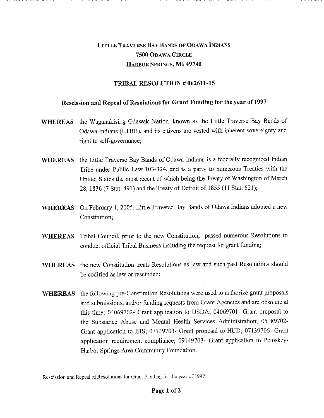## LITTLE TRAVERSE BAY BANDS OF ODAWA INDIANS **7500** ODAWA CIRCLE HARBOR SPRINGS, **MI 49740**

## **TRIBAL RESOLUTION** *#* **062611-15**

## **Rescission and Repeal of Resolutions for Grant Funding for the year of 1997**

- **WHEREAS** the Waganakising Odawak Nation, known as the Little Traverse Bay Bands of Odawa Indians (LTBB), and its citizens are vested with inherent sovereignty and right to self-governance;
- **WHEREAS** the Little Traverse Bay Bands of Odawa Indians is a federally recognized Indian Tribe under Public Law 103-324, and is a party to numerous Treaties with the United States the most recent of which being the Treaty of Washington of March 28, 1836 (7 Stat. 491) and the Treaty of Detroit of 1855 (11 Stat. 621);
- **WHEREAS** On February 1, 2005, Little Traverse Bay Bands of Odawa Indians adopted a new Constitution;
- **WHEREAS** Tribal Council, prior to the new Constitution, passed numerous Resolutions to conduct official Tribal Business including the request for grant funding;
- **WHEREAS** the new Constitution treats Resolutions as law and such past Resolutions should be codified as law or rescinded;
- **WHEREAS** the following pre-Constitution Resolutions were used to authorize grant proposals and submissions, and/or funding requests from Grant Agencies and are obsolete at this time: 04069702- Grant application to USDA; 04069701- Grant proposal to the Substance Abuse and Mental Health Services Administration; 05189702- Grant application to IHS; 07139703- Grant proposal to HUD; 07139706- Grant application requirement compliance; 09149703- Grant application to Petoskey-Harbor Springs Area Community Foundation.

Rescission and Repeal of Resolutions for Grant Funding for the year of 1997